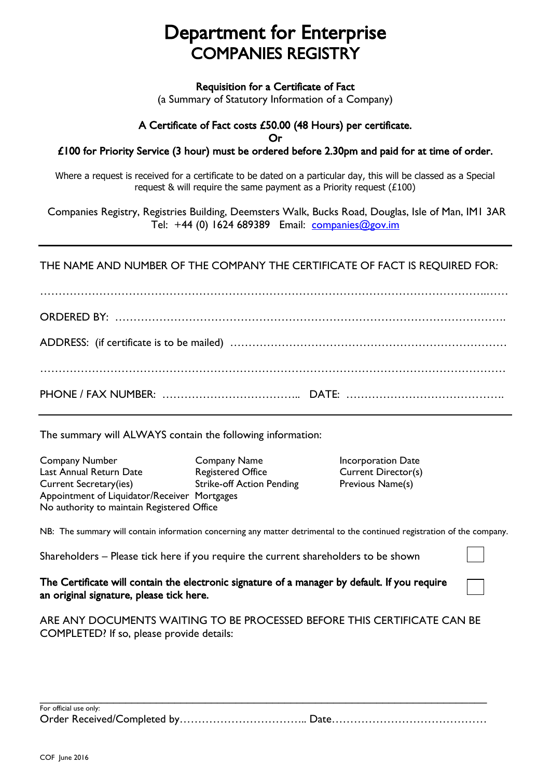## Department for Enterprise COMPANIES REGISTRY

Requisition for a Certificate of Fact

(a Summary of Statutory Information of a Company)

## A Certificate of Fact costs £50.00 (48 Hours) per certificate.

Or

## £100 for Priority Service (3 hour) must be ordered before 2.30pm and paid for at time of order.

Where a request is received for a certificate to be dated on a particular day, this will be classed as a Special request & will require the same payment as a Priority request (£100)

Companies Registry, Registries Building, Deemsters Walk, Bucks Road, Douglas, Isle of Man, IM1 3AR Tel: +44 (0) 1624 689389 Email: [companies@gov.im](mailto:companies@gov.im)

THE NAME AND NUMBER OF THE COMPANY THE CERTIFICATE OF FACT IS REQUIRED FOR:

………………………………………………………………………………………………………….…… ORDERED BY: ……………………………………………………………………………………………. ADDRESS: (if certificate is to be mailed) ………………………………………………………………… ……………………………………………………………………………………………………………… PHONE / FAX NUMBER: ……………………………….. DATE: …………………………………….

The summary will ALWAYS contain the following information:

Company Number Company Name Incorporation Date Last Annual Return Date Registered Office Current Director(s) Current Secretary(ies) Strike-off Action Pending Previous Name(s) Appointment of Liquidator/Receiver Mortgages No authority to maintain Registered Office

NB: The summary will contain information concerning any matter detrimental to the continued registration of the company.

Shareholders – Please tick here if you require the current shareholders to be shown

## The Certificate will contain the electronic signature of a manager by default. If you require an original signature, please tick here.

ARE ANY DOCUMENTS WAITING TO BE PROCESSED BEFORE THIS CERTIFICATE CAN BE COMPLETED? If so, please provide details:

| For official use only: |  |
|------------------------|--|
|                        |  |